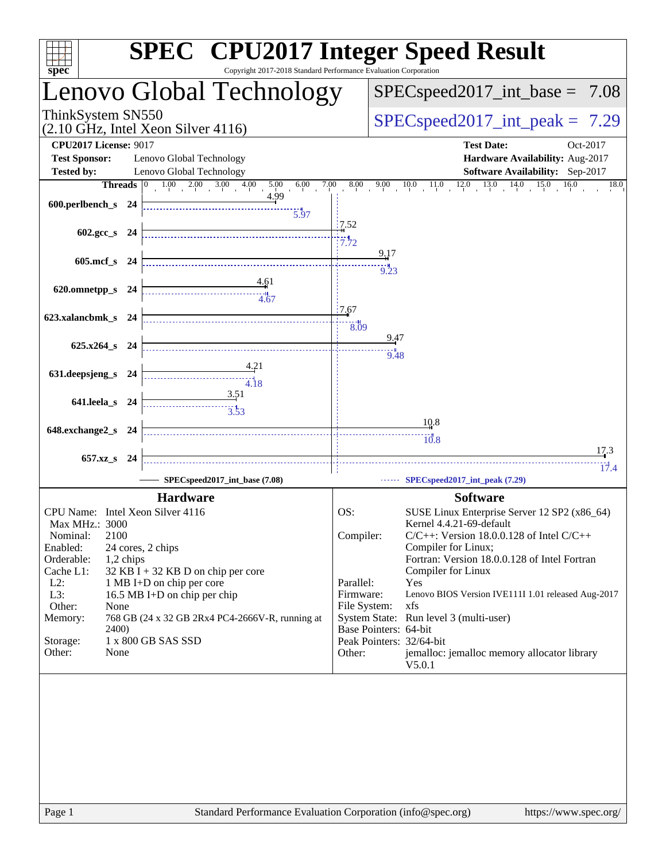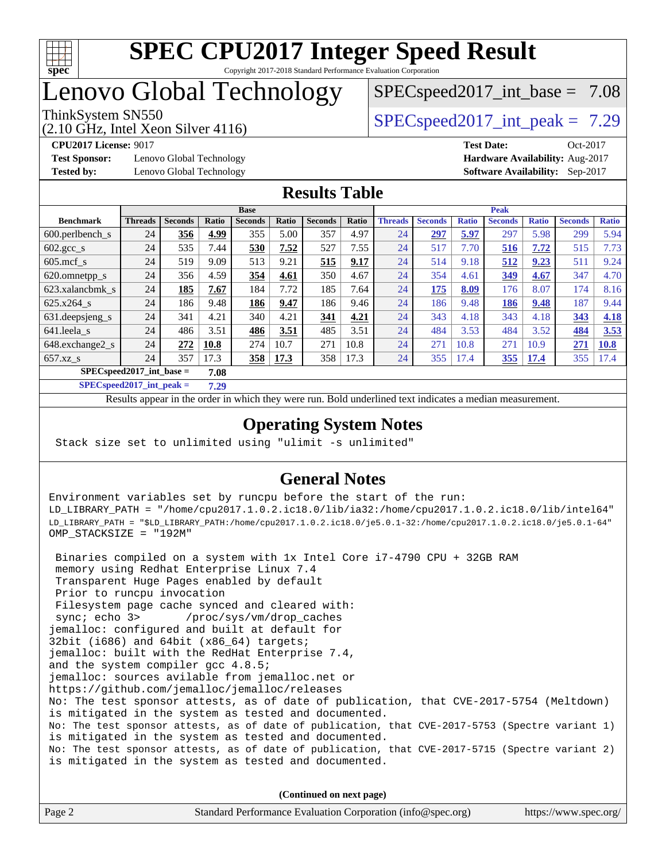

# Lenovo Global Technology

# $SPECspeed2017\_int\_base = 7.08$

(2.10 GHz, Intel Xeon Silver 4116)

ThinkSystem SN550  $SPEC speed2017$  int peak = 7.29

**[Test Sponsor:](http://www.spec.org/auto/cpu2017/Docs/result-fields.html#TestSponsor)** Lenovo Global Technology **[Hardware Availability:](http://www.spec.org/auto/cpu2017/Docs/result-fields.html#HardwareAvailability)** Aug-2017 **[Tested by:](http://www.spec.org/auto/cpu2017/Docs/result-fields.html#Testedby)** Lenovo Global Technology **[Software Availability:](http://www.spec.org/auto/cpu2017/Docs/result-fields.html#SoftwareAvailability)** Sep-2017

**[CPU2017 License:](http://www.spec.org/auto/cpu2017/Docs/result-fields.html#CPU2017License)** 9017 **[Test Date:](http://www.spec.org/auto/cpu2017/Docs/result-fields.html#TestDate)** Oct-2017

#### **[Results Table](http://www.spec.org/auto/cpu2017/Docs/result-fields.html#ResultsTable)**

|                                    | <b>Base</b>    |                |       |                |       | <b>Peak</b>    |       |                |                |              |                |              |                |              |
|------------------------------------|----------------|----------------|-------|----------------|-------|----------------|-------|----------------|----------------|--------------|----------------|--------------|----------------|--------------|
| <b>Benchmark</b>                   | <b>Threads</b> | <b>Seconds</b> | Ratio | <b>Seconds</b> | Ratio | <b>Seconds</b> | Ratio | <b>Threads</b> | <b>Seconds</b> | <b>Ratio</b> | <b>Seconds</b> | <b>Ratio</b> | <b>Seconds</b> | <b>Ratio</b> |
| $600.$ perlbench $\mathsf{S}$      | 24             | 356            | 4.99  | 355            | 5.00  | 357            | 4.97  | 24             | 297            | 5.97         | 297            | 5.98         | 299            | 5.94         |
| $602.\text{gcc}\_\text{s}$         | 24             | 535            | 7.44  | 530            | 7.52  | 527            | 7.55  | 24             | 517            | 7.70         | 516            | 7.72         | 515            | 7.73         |
| $605$ .mcf s                       | 24             | 519            | 9.09  | 513            | 9.21  | 515            | 9.17  | 24             | 514            | 9.18         | 512            | 9.23         | 511            | 9.24         |
| 620.omnetpp_s                      | 24             | 356            | 4.59  | 354            | 4.61  | 350            | 4.67  | 24             | 354            | 4.61         | 349            | 4.67         | 347            | 4.70         |
| 623.xalancbmk s                    | 24             | 185            | 7.67  | 184            | 7.72  | 185            | 7.64  | 24             | 175            | 8.09         | 176            | 8.07         | 174            | 8.16         |
| 625.x264 s                         | 24             | 186            | 9.48  | 186            | 9.47  | 186            | 9.46  | 24             | 186            | 9.48         | 186            | 9.48         | 187            | 9.44         |
| 631.deepsjeng_s                    | 24             | 341            | 4.21  | 340            | 4.21  | 341            | 4.21  | 24             | 343            | 4.18         | 343            | 4.18         | 343            | 4.18         |
| 641.leela s                        | 24             | 486            | 3.51  | 486            | 3.51  | 485            | 3.51  | 24             | 484            | 3.53         | 484            | 3.52         | 484            | 3.53         |
| 648.exchange2_s                    | 24             | 272            | 10.8  | 274            | 10.7  | 271            | 10.8  | 24             | 271            | 10.8         | 271            | 10.9         | 271            | 10.8         |
| $657.xz$ <sub>_8</sub>             | 24             | 357            | 17.3  | 358            | 17.3  | 358            | 17.3  | 24             | 355            | 17.4         | 355            | 17.4         | 355            | 17.4         |
| $SPECspeed2017$ int base =<br>7.08 |                |                |       |                |       |                |       |                |                |              |                |              |                |              |

**[SPECspeed2017\\_int\\_peak =](http://www.spec.org/auto/cpu2017/Docs/result-fields.html#SPECspeed2017intpeak) 7.29**

Results appear in the [order in which they were run.](http://www.spec.org/auto/cpu2017/Docs/result-fields.html#RunOrder) Bold underlined text [indicates a median measurement](http://www.spec.org/auto/cpu2017/Docs/result-fields.html#Median).

### **[Operating System Notes](http://www.spec.org/auto/cpu2017/Docs/result-fields.html#OperatingSystemNotes)**

Stack size set to unlimited using "ulimit -s unlimited"

## **[General Notes](http://www.spec.org/auto/cpu2017/Docs/result-fields.html#GeneralNotes)**

Environment variables set by runcpu before the start of the run: LD\_LIBRARY\_PATH = "/home/cpu2017.1.0.2.ic18.0/lib/ia32:/home/cpu2017.1.0.2.ic18.0/lib/intel64" LD\_LIBRARY\_PATH = "\$LD\_LIBRARY\_PATH:/home/cpu2017.1.0.2.ic18.0/je5.0.1-32:/home/cpu2017.1.0.2.ic18.0/je5.0.1-64" OMP\_STACKSIZE = "192M"

 Binaries compiled on a system with 1x Intel Core i7-4790 CPU + 32GB RAM memory using Redhat Enterprise Linux 7.4 Transparent Huge Pages enabled by default Prior to runcpu invocation Filesystem page cache synced and cleared with: sync; echo 3> /proc/sys/vm/drop\_caches jemalloc: configured and built at default for 32bit (i686) and 64bit (x86\_64) targets; jemalloc: built with the RedHat Enterprise 7.4, and the system compiler gcc 4.8.5; jemalloc: sources avilable from jemalloc.net or <https://github.com/jemalloc/jemalloc/releases> No: The test sponsor attests, as of date of publication, that CVE-2017-5754 (Meltdown) is mitigated in the system as tested and documented. No: The test sponsor attests, as of date of publication, that CVE-2017-5753 (Spectre variant 1) is mitigated in the system as tested and documented. No: The test sponsor attests, as of date of publication, that CVE-2017-5715 (Spectre variant 2) is mitigated in the system as tested and documented.

**(Continued on next page)**

| Page 2 | Standard Performance Evaluation Corporation (info@spec.org) | https://www.spec.org/ |
|--------|-------------------------------------------------------------|-----------------------|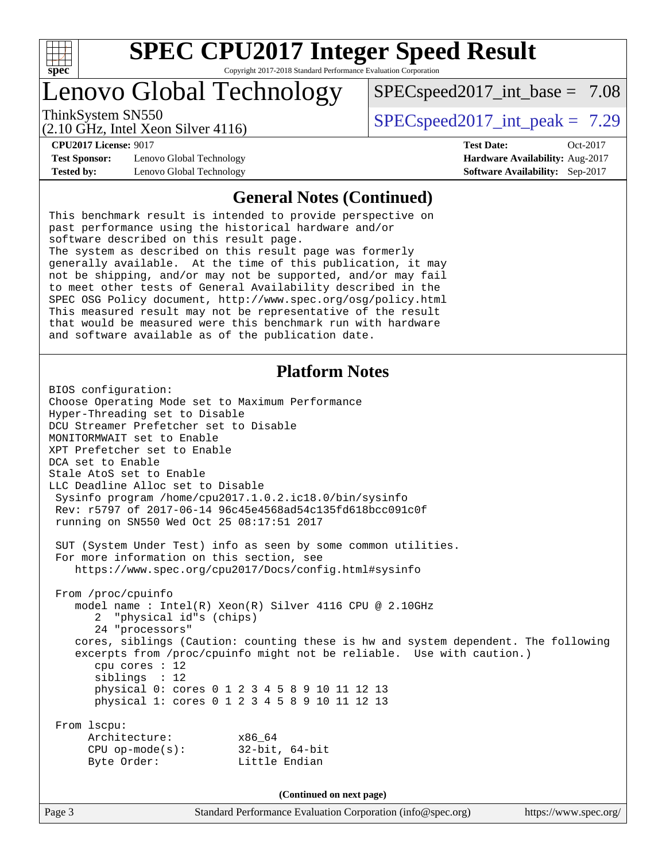

# Lenovo Global Technology

ThinkSystem SN550  $SPEC speed2017$  int peak = 7.29

 $SPECspeed2017\_int\_base = 7.08$ 

(2.10 GHz, Intel Xeon Silver 4116)

**[CPU2017 License:](http://www.spec.org/auto/cpu2017/Docs/result-fields.html#CPU2017License)** 9017 **[Test Date:](http://www.spec.org/auto/cpu2017/Docs/result-fields.html#TestDate)** Oct-2017 **[Test Sponsor:](http://www.spec.org/auto/cpu2017/Docs/result-fields.html#TestSponsor)** Lenovo Global Technology **[Hardware Availability:](http://www.spec.org/auto/cpu2017/Docs/result-fields.html#HardwareAvailability)** Aug-2017 **[Tested by:](http://www.spec.org/auto/cpu2017/Docs/result-fields.html#Testedby)** Lenovo Global Technology **[Software Availability:](http://www.spec.org/auto/cpu2017/Docs/result-fields.html#SoftwareAvailability)** Sep-2017

#### **[General Notes \(Continued\)](http://www.spec.org/auto/cpu2017/Docs/result-fields.html#GeneralNotes)**

This benchmark result is intended to provide perspective on past performance using the historical hardware and/or software described on this result page. The system as described on this result page was formerly generally available. At the time of this publication, it may not be shipping, and/or may not be supported, and/or may fail to meet other tests of General Availability described in the SPEC OSG Policy document, <http://www.spec.org/osg/policy.html> This measured result may not be representative of the result that would be measured were this benchmark run with hardware and software available as of the publication date.

#### **[Platform Notes](http://www.spec.org/auto/cpu2017/Docs/result-fields.html#PlatformNotes)**

BIOS configuration: Choose Operating Mode set to Maximum Performance Hyper-Threading set to Disable DCU Streamer Prefetcher set to Disable MONITORMWAIT set to Enable XPT Prefetcher set to Enable DCA set to Enable Stale AtoS set to Enable LLC Deadline Alloc set to Disable Sysinfo program /home/cpu2017.1.0.2.ic18.0/bin/sysinfo Rev: r5797 of 2017-06-14 96c45e4568ad54c135fd618bcc091c0f running on SN550 Wed Oct 25 08:17:51 2017 SUT (System Under Test) info as seen by some common utilities. For more information on this section, see <https://www.spec.org/cpu2017/Docs/config.html#sysinfo> From /proc/cpuinfo model name : Intel(R) Xeon(R) Silver 4116 CPU @ 2.10GHz 2 "physical id"s (chips) 24 "processors" cores, siblings (Caution: counting these is hw and system dependent. The following excerpts from /proc/cpuinfo might not be reliable. Use with caution.) cpu cores : 12 siblings : 12 physical 0: cores 0 1 2 3 4 5 8 9 10 11 12 13 physical 1: cores 0 1 2 3 4 5 8 9 10 11 12 13 From lscpu: Architecture: x86\_64 CPU op-mode(s): 32-bit, 64-bit Byte Order: Little Endian **(Continued on next page)**

Page 3 Standard Performance Evaluation Corporation [\(info@spec.org\)](mailto:info@spec.org) <https://www.spec.org/>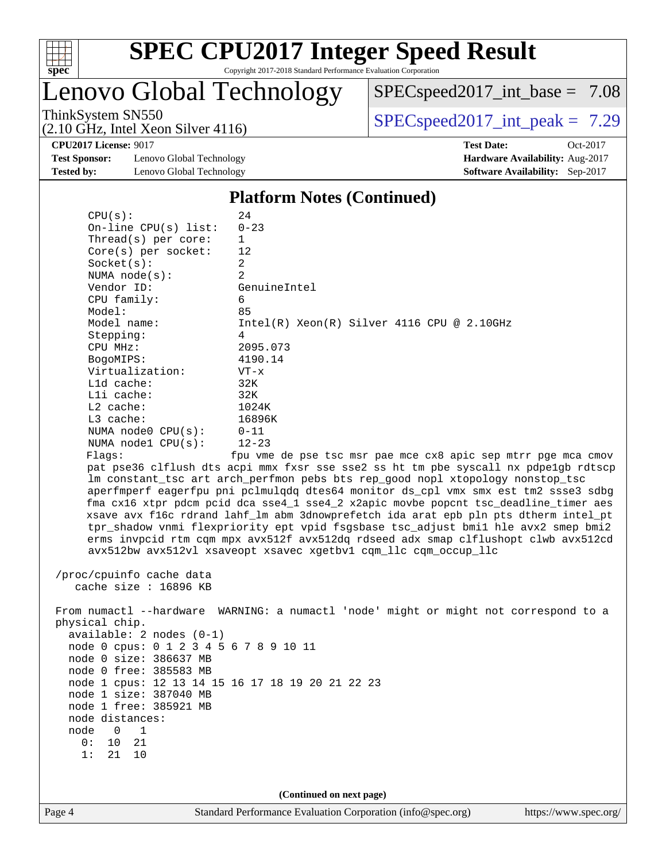

Lenovo Global Technology

[SPECspeed2017\\_int\\_base =](http://www.spec.org/auto/cpu2017/Docs/result-fields.html#SPECspeed2017intbase) 7.08

(2.10 GHz, Intel Xeon Silver 4116)

ThinkSystem SN550<br>  $(2.10 \text{ GHz. Intel Year } 4116)$  [SPECspeed2017\\_int\\_peak =](http://www.spec.org/auto/cpu2017/Docs/result-fields.html#SPECspeed2017intpeak) 7.29

**[Test Sponsor:](http://www.spec.org/auto/cpu2017/Docs/result-fields.html#TestSponsor)** Lenovo Global Technology **[Hardware Availability:](http://www.spec.org/auto/cpu2017/Docs/result-fields.html#HardwareAvailability)** Aug-2017 **[Tested by:](http://www.spec.org/auto/cpu2017/Docs/result-fields.html#Testedby)** Lenovo Global Technology **[Software Availability:](http://www.spec.org/auto/cpu2017/Docs/result-fields.html#SoftwareAvailability)** Sep-2017

**[CPU2017 License:](http://www.spec.org/auto/cpu2017/Docs/result-fields.html#CPU2017License)** 9017 **[Test Date:](http://www.spec.org/auto/cpu2017/Docs/result-fields.html#TestDate)** Oct-2017

#### **[Platform Notes \(Continued\)](http://www.spec.org/auto/cpu2017/Docs/result-fields.html#PlatformNotes)**

| CPU(s):                                          | 24                                                                                   |
|--------------------------------------------------|--------------------------------------------------------------------------------------|
| On-line CPU(s) list:                             | $0 - 23$                                                                             |
| Thread(s) per core:                              | $\mathbf{1}$                                                                         |
| Core(s) per socket:                              | 12                                                                                   |
| Socket(s):                                       | $\overline{a}$                                                                       |
| NUMA $node(s)$ :                                 | 2                                                                                    |
| Vendor ID:                                       | GenuineIntel                                                                         |
| CPU family:                                      | 6                                                                                    |
| Model:                                           | 85                                                                                   |
| Model name:                                      | $Intel(R) Xeon(R) Silver 4116 CPU @ 2.10GHz$                                         |
| Stepping:                                        | 4                                                                                    |
| CPU MHz:                                         | 2095.073                                                                             |
| BogoMIPS:                                        | 4190.14                                                                              |
| Virtualization:                                  | $VT - x$                                                                             |
| L1d cache:                                       | 32K                                                                                  |
| Lli cache:                                       | 32K                                                                                  |
| L2 cache:                                        | 1024K                                                                                |
| L3 cache:                                        | 16896K                                                                               |
| NUMA node0 CPU(s):                               | $0 - 11$                                                                             |
| NUMA nodel CPU(s):                               | $12 - 23$                                                                            |
| Flags:                                           | fpu vme de pse tsc msr pae mce cx8 apic sep mtrr pge mca cmov                        |
|                                                  | pat pse36 clflush dts acpi mmx fxsr sse sse2 ss ht tm pbe syscall nx pdpelgb rdtscp  |
|                                                  | lm constant_tsc art arch_perfmon pebs bts rep_good nopl xtopology nonstop_tsc        |
|                                                  | aperfmperf eagerfpu pni pclmulqdq dtes64 monitor ds_cpl vmx smx est tm2 ssse3 sdbg   |
|                                                  | fma cx16 xtpr pdcm pcid dca sse4_1 sse4_2 x2apic movbe popcnt tsc_deadline_timer aes |
|                                                  | xsave avx f16c rdrand lahf_lm abm 3dnowprefetch ida arat epb pln pts dtherm intel_pt |
|                                                  | tpr_shadow vnmi flexpriority ept vpid fsgsbase tsc_adjust bmil hle avx2 smep bmi2    |
|                                                  | erms invpcid rtm cqm mpx avx512f avx512dq rdseed adx smap clflushopt clwb avx512cd   |
|                                                  | avx512bw avx512vl xsaveopt xsavec xgetbvl cqm_llc cqm_occup_llc                      |
|                                                  |                                                                                      |
| /proc/cpuinfo cache data                         |                                                                                      |
| cache size : 16896 KB                            |                                                                                      |
|                                                  |                                                                                      |
|                                                  | From numactl --hardware WARNING: a numactl 'node' might or might not correspond to a |
| physical chip.                                   |                                                                                      |
| $available: 2 nodes (0-1)$                       |                                                                                      |
| node 0 cpus: 0 1 2 3 4 5 6 7 8 9 10 11           |                                                                                      |
| node 0 size: 386637 MB                           |                                                                                      |
| node 0 free: 385583 MB                           |                                                                                      |
| node 1 cpus: 12 13 14 15 16 17 18 19 20 21 22 23 |                                                                                      |
| node 1 size: 387040 MB                           |                                                                                      |
| node 1 free: 385921 MB                           |                                                                                      |
| node distances:                                  |                                                                                      |
| node<br>0<br>1                                   |                                                                                      |
| 10<br>0 :<br>21                                  |                                                                                      |
| 1:<br>21<br>10                                   |                                                                                      |
|                                                  |                                                                                      |
|                                                  | (Continued on next page)                                                             |
|                                                  |                                                                                      |
| Page 4                                           | Standard Performance Evaluation Corporation (info@spec.org)<br>https://www.spec.org/ |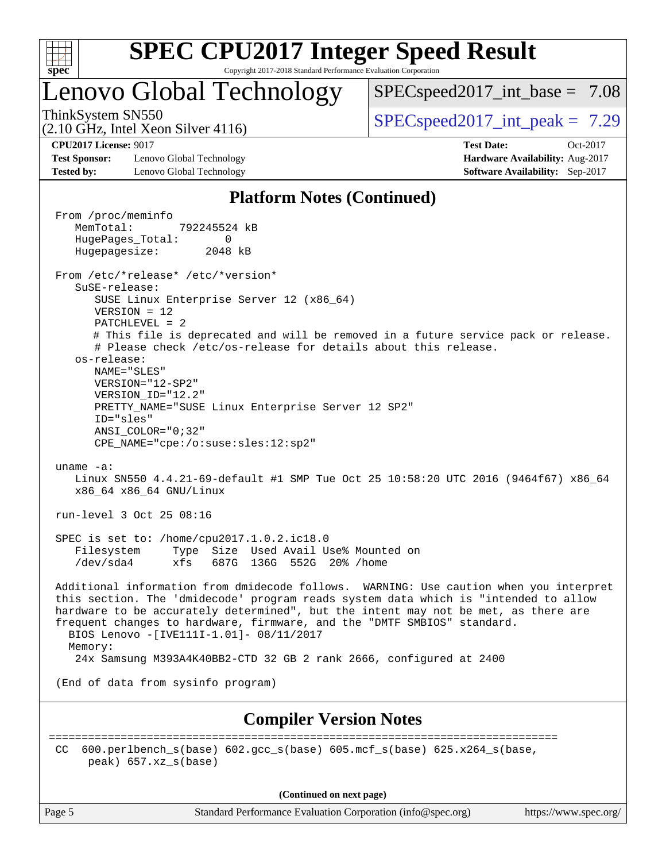

# Lenovo Global Technology

 $SPECspeed2017\_int\_base = 7.08$ 

(2.10 GHz, Intel Xeon Silver 4116)

ThinkSystem SN550  $SPEC speed2017$  int peak = 7.29

**[Test Sponsor:](http://www.spec.org/auto/cpu2017/Docs/result-fields.html#TestSponsor)** Lenovo Global Technology **[Hardware Availability:](http://www.spec.org/auto/cpu2017/Docs/result-fields.html#HardwareAvailability)** Aug-2017 **[Tested by:](http://www.spec.org/auto/cpu2017/Docs/result-fields.html#Testedby)** Lenovo Global Technology **[Software Availability:](http://www.spec.org/auto/cpu2017/Docs/result-fields.html#SoftwareAvailability)** Sep-2017

**[CPU2017 License:](http://www.spec.org/auto/cpu2017/Docs/result-fields.html#CPU2017License)** 9017 **[Test Date:](http://www.spec.org/auto/cpu2017/Docs/result-fields.html#TestDate)** Oct-2017

#### **[Platform Notes \(Continued\)](http://www.spec.org/auto/cpu2017/Docs/result-fields.html#PlatformNotes)**

 From /proc/meminfo MemTotal: 792245524 kB HugePages\_Total: 0 Hugepagesize: 2048 kB From /etc/\*release\* /etc/\*version\* SuSE-release: SUSE Linux Enterprise Server 12 (x86\_64) VERSION = 12 PATCHLEVEL = 2 # This file is deprecated and will be removed in a future service pack or release. # Please check /etc/os-release for details about this release. os-release: NAME="SLES" VERSION="12-SP2" VERSION\_ID="12.2" PRETTY\_NAME="SUSE Linux Enterprise Server 12 SP2" ID="sles" ANSI\_COLOR="0;32" CPE\_NAME="cpe:/o:suse:sles:12:sp2" uname -a: Linux SN550 4.4.21-69-default #1 SMP Tue Oct 25 10:58:20 UTC 2016 (9464f67) x86\_64 x86\_64 x86\_64 GNU/Linux run-level 3 Oct 25 08:16 SPEC is set to: /home/cpu2017.1.0.2.ic18.0 Filesystem Type Size Used Avail Use% Mounted on /dev/sda4 xfs 687G 136G 552G 20% /home Additional information from dmidecode follows. WARNING: Use caution when you interpret this section. The 'dmidecode' program reads system data which is "intended to allow hardware to be accurately determined", but the intent may not be met, as there are frequent changes to hardware, firmware, and the "DMTF SMBIOS" standard. BIOS Lenovo -[IVE111I-1.01]- 08/11/2017 Memory: 24x Samsung M393A4K40BB2-CTD 32 GB 2 rank 2666, configured at 2400 (End of data from sysinfo program) **[Compiler Version Notes](http://www.spec.org/auto/cpu2017/Docs/result-fields.html#CompilerVersionNotes)** ============================================================================== CC 600.perlbench  $s(base)$  602.gcc  $s(base)$  605.mcf  $s(base)$  625.x264  $s(base)$ peak) 657.xz\_s(base)

**(Continued on next page)**

Page 5 Standard Performance Evaluation Corporation [\(info@spec.org\)](mailto:info@spec.org) <https://www.spec.org/>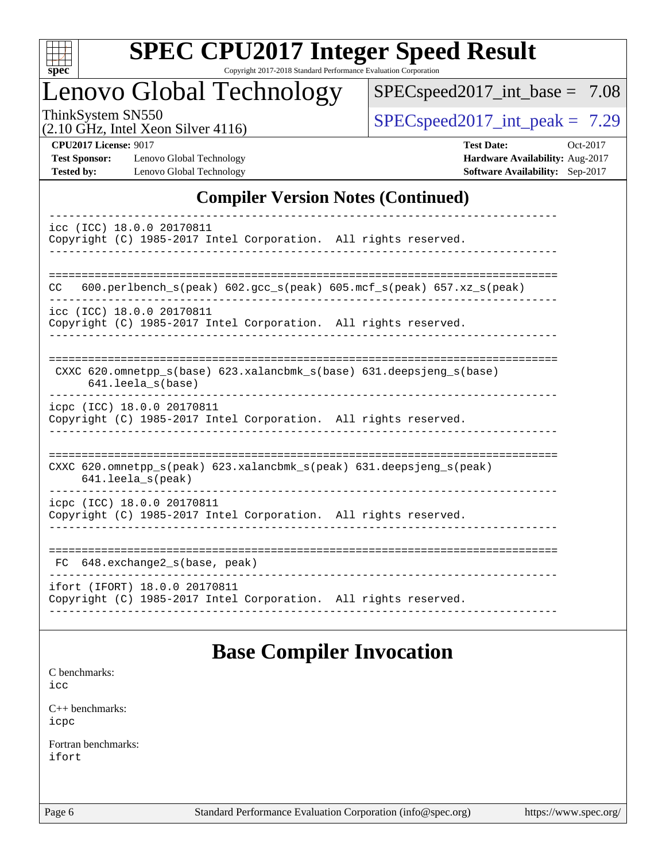

# **[SPEC CPU2017 Integer Speed Result](http://www.spec.org/auto/cpu2017/Docs/result-fields.html#SPECCPU2017IntegerSpeedResult)**

Copyright 2017-2018 Standard Performance Evaluation Corporation

# Lenovo Global Technology

[SPECspeed2017\\_int\\_base =](http://www.spec.org/auto/cpu2017/Docs/result-fields.html#SPECspeed2017intbase) 7.08

(2.10 GHz, Intel Xeon Silver 4116)

ThinkSystem SN550  $SPIz$  Interval Year Silver 4116

**[Test Sponsor:](http://www.spec.org/auto/cpu2017/Docs/result-fields.html#TestSponsor)** Lenovo Global Technology **[Hardware Availability:](http://www.spec.org/auto/cpu2017/Docs/result-fields.html#HardwareAvailability)** Aug-2017 **[Tested by:](http://www.spec.org/auto/cpu2017/Docs/result-fields.html#Testedby)** Lenovo Global Technology **[Software Availability:](http://www.spec.org/auto/cpu2017/Docs/result-fields.html#SoftwareAvailability)** Sep-2017

**[CPU2017 License:](http://www.spec.org/auto/cpu2017/Docs/result-fields.html#CPU2017License)** 9017 **[Test Date:](http://www.spec.org/auto/cpu2017/Docs/result-fields.html#TestDate)** Oct-2017

### **[Compiler Version Notes \(Continued\)](http://www.spec.org/auto/cpu2017/Docs/result-fields.html#CompilerVersionNotes)**

| icc (ICC) 18.0.0 20170811<br>Copyright (C) 1985-2017 Intel Corporation. All rights reserved.                               |
|----------------------------------------------------------------------------------------------------------------------------|
| $600. perlbench_s (peak) 602. gcc_s (peak) 605. mcf_s (peak) 657. xz_s (peak)$<br>CC.                                      |
| icc (ICC) 18.0.0 20170811<br>Copyright (C) 1985-2017 Intel Corporation. All rights reserved.                               |
| CXXC 620.omnetpp_s(base) 623.xalancbmk_s(base) 631.deepsjeng_s(base)<br>$641.$ leela $s$ (base)                            |
| icpc (ICC) 18.0.0 20170811<br>Copyright (C) 1985-2017 Intel Corporation. All rights reserved.                              |
| CXXC $620.\text{omnetpp_s}$ (peak) $623.\text{xalancbmk_s}$ (peak) $631.\text{deepsjeng_s}$ (peak)<br>$641.$ leela_s(peak) |
| icpc (ICC) 18.0.0 20170811<br>Copyright (C) 1985-2017 Intel Corporation. All rights reserved.                              |
| FC 648.exchange2_s(base, peak)                                                                                             |
| ifort (IFORT) 18.0.0 20170811<br>Copyright (C) 1985-2017 Intel Corporation. All rights reserved.                           |

## **[Base Compiler Invocation](http://www.spec.org/auto/cpu2017/Docs/result-fields.html#BaseCompilerInvocation)**

[C benchmarks](http://www.spec.org/auto/cpu2017/Docs/result-fields.html#Cbenchmarks):

[icc](http://www.spec.org/cpu2017/results/res2018q1/cpu2017-20180206-03406.flags.html#user_CCbase_intel_icc_18.0_66fc1ee009f7361af1fbd72ca7dcefbb700085f36577c54f309893dd4ec40d12360134090235512931783d35fd58c0460139e722d5067c5574d8eaf2b3e37e92)

[C++ benchmarks:](http://www.spec.org/auto/cpu2017/Docs/result-fields.html#CXXbenchmarks) [icpc](http://www.spec.org/cpu2017/results/res2018q1/cpu2017-20180206-03406.flags.html#user_CXXbase_intel_icpc_18.0_c510b6838c7f56d33e37e94d029a35b4a7bccf4766a728ee175e80a419847e808290a9b78be685c44ab727ea267ec2f070ec5dc83b407c0218cded6866a35d07)

[Fortran benchmarks](http://www.spec.org/auto/cpu2017/Docs/result-fields.html#Fortranbenchmarks): [ifort](http://www.spec.org/cpu2017/results/res2018q1/cpu2017-20180206-03406.flags.html#user_FCbase_intel_ifort_18.0_8111460550e3ca792625aed983ce982f94888b8b503583aa7ba2b8303487b4d8a21a13e7191a45c5fd58ff318f48f9492884d4413fa793fd88dd292cad7027ca)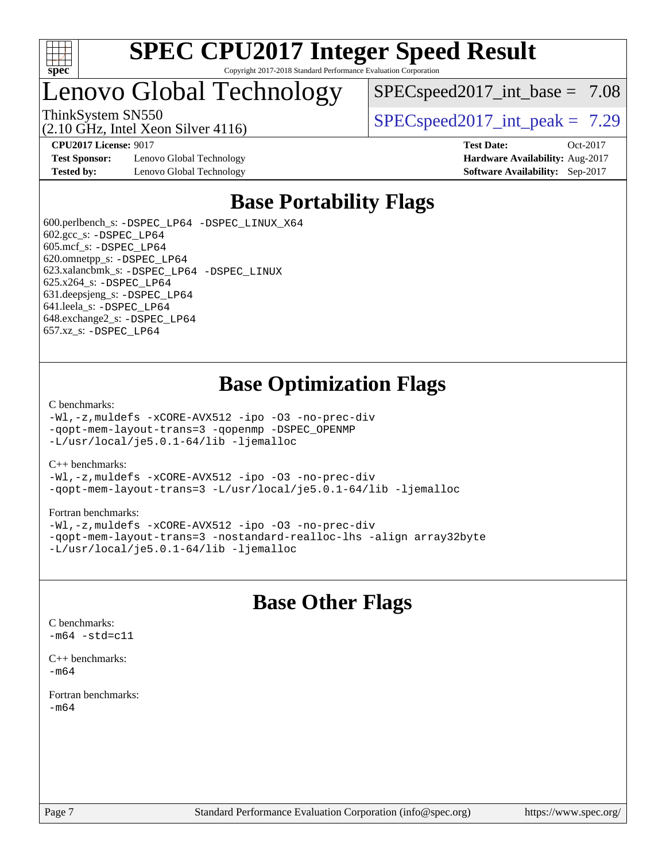

# Lenovo Global Technology

 $SPEC speed2017\_int\_base = 7.08$ 

ThinkSystem SN550  $SPEC speed2017$  int peak = 7.29

**[Test Sponsor:](http://www.spec.org/auto/cpu2017/Docs/result-fields.html#TestSponsor)** Lenovo Global Technology **[Hardware Availability:](http://www.spec.org/auto/cpu2017/Docs/result-fields.html#HardwareAvailability)** Aug-2017 **[Tested by:](http://www.spec.org/auto/cpu2017/Docs/result-fields.html#Testedby)** Lenovo Global Technology **[Software Availability:](http://www.spec.org/auto/cpu2017/Docs/result-fields.html#SoftwareAvailability)** Sep-2017

(2.10 GHz, Intel Xeon Silver 4116)

**[CPU2017 License:](http://www.spec.org/auto/cpu2017/Docs/result-fields.html#CPU2017License)** 9017 **[Test Date:](http://www.spec.org/auto/cpu2017/Docs/result-fields.html#TestDate)** Oct-2017

# **[Base Portability Flags](http://www.spec.org/auto/cpu2017/Docs/result-fields.html#BasePortabilityFlags)**

 600.perlbench\_s: [-DSPEC\\_LP64](http://www.spec.org/cpu2017/results/res2018q1/cpu2017-20180206-03406.flags.html#b600.perlbench_s_basePORTABILITY_DSPEC_LP64) [-DSPEC\\_LINUX\\_X64](http://www.spec.org/cpu2017/results/res2018q1/cpu2017-20180206-03406.flags.html#b600.perlbench_s_baseCPORTABILITY_DSPEC_LINUX_X64) 602.gcc\_s: [-DSPEC\\_LP64](http://www.spec.org/cpu2017/results/res2018q1/cpu2017-20180206-03406.flags.html#suite_basePORTABILITY602_gcc_s_DSPEC_LP64) 605.mcf\_s: [-DSPEC\\_LP64](http://www.spec.org/cpu2017/results/res2018q1/cpu2017-20180206-03406.flags.html#suite_basePORTABILITY605_mcf_s_DSPEC_LP64) 620.omnetpp\_s: [-DSPEC\\_LP64](http://www.spec.org/cpu2017/results/res2018q1/cpu2017-20180206-03406.flags.html#suite_basePORTABILITY620_omnetpp_s_DSPEC_LP64) 623.xalancbmk\_s: [-DSPEC\\_LP64](http://www.spec.org/cpu2017/results/res2018q1/cpu2017-20180206-03406.flags.html#suite_basePORTABILITY623_xalancbmk_s_DSPEC_LP64) [-DSPEC\\_LINUX](http://www.spec.org/cpu2017/results/res2018q1/cpu2017-20180206-03406.flags.html#b623.xalancbmk_s_baseCXXPORTABILITY_DSPEC_LINUX) 625.x264\_s: [-DSPEC\\_LP64](http://www.spec.org/cpu2017/results/res2018q1/cpu2017-20180206-03406.flags.html#suite_basePORTABILITY625_x264_s_DSPEC_LP64) 631.deepsjeng\_s: [-DSPEC\\_LP64](http://www.spec.org/cpu2017/results/res2018q1/cpu2017-20180206-03406.flags.html#suite_basePORTABILITY631_deepsjeng_s_DSPEC_LP64) 641.leela\_s: [-DSPEC\\_LP64](http://www.spec.org/cpu2017/results/res2018q1/cpu2017-20180206-03406.flags.html#suite_basePORTABILITY641_leela_s_DSPEC_LP64) 648.exchange2\_s: [-DSPEC\\_LP64](http://www.spec.org/cpu2017/results/res2018q1/cpu2017-20180206-03406.flags.html#suite_basePORTABILITY648_exchange2_s_DSPEC_LP64) 657.xz\_s: [-DSPEC\\_LP64](http://www.spec.org/cpu2017/results/res2018q1/cpu2017-20180206-03406.flags.html#suite_basePORTABILITY657_xz_s_DSPEC_LP64)

# **[Base Optimization Flags](http://www.spec.org/auto/cpu2017/Docs/result-fields.html#BaseOptimizationFlags)**

#### [C benchmarks](http://www.spec.org/auto/cpu2017/Docs/result-fields.html#Cbenchmarks):

[-Wl,-z,muldefs](http://www.spec.org/cpu2017/results/res2018q1/cpu2017-20180206-03406.flags.html#user_CCbase_link_force_multiple1_b4cbdb97b34bdee9ceefcfe54f4c8ea74255f0b02a4b23e853cdb0e18eb4525ac79b5a88067c842dd0ee6996c24547a27a4b99331201badda8798ef8a743f577) [-xCORE-AVX512](http://www.spec.org/cpu2017/results/res2018q1/cpu2017-20180206-03406.flags.html#user_CCbase_f-xCORE-AVX512) [-ipo](http://www.spec.org/cpu2017/results/res2018q1/cpu2017-20180206-03406.flags.html#user_CCbase_f-ipo) [-O3](http://www.spec.org/cpu2017/results/res2018q1/cpu2017-20180206-03406.flags.html#user_CCbase_f-O3) [-no-prec-div](http://www.spec.org/cpu2017/results/res2018q1/cpu2017-20180206-03406.flags.html#user_CCbase_f-no-prec-div) [-qopt-mem-layout-trans=3](http://www.spec.org/cpu2017/results/res2018q1/cpu2017-20180206-03406.flags.html#user_CCbase_f-qopt-mem-layout-trans_de80db37974c74b1f0e20d883f0b675c88c3b01e9d123adea9b28688d64333345fb62bc4a798493513fdb68f60282f9a726aa07f478b2f7113531aecce732043) [-qopenmp](http://www.spec.org/cpu2017/results/res2018q1/cpu2017-20180206-03406.flags.html#user_CCbase_qopenmp_16be0c44f24f464004c6784a7acb94aca937f053568ce72f94b139a11c7c168634a55f6653758ddd83bcf7b8463e8028bb0b48b77bcddc6b78d5d95bb1df2967) [-DSPEC\\_OPENMP](http://www.spec.org/cpu2017/results/res2018q1/cpu2017-20180206-03406.flags.html#suite_CCbase_DSPEC_OPENMP) [-L/usr/local/je5.0.1-64/lib](http://www.spec.org/cpu2017/results/res2018q1/cpu2017-20180206-03406.flags.html#user_CCbase_jemalloc_link_path64_4b10a636b7bce113509b17f3bd0d6226c5fb2346b9178c2d0232c14f04ab830f976640479e5c33dc2bcbbdad86ecfb6634cbbd4418746f06f368b512fced5394) [-ljemalloc](http://www.spec.org/cpu2017/results/res2018q1/cpu2017-20180206-03406.flags.html#user_CCbase_jemalloc_link_lib_d1249b907c500fa1c0672f44f562e3d0f79738ae9e3c4a9c376d49f265a04b9c99b167ecedbf6711b3085be911c67ff61f150a17b3472be731631ba4d0471706)

#### [C++ benchmarks:](http://www.spec.org/auto/cpu2017/Docs/result-fields.html#CXXbenchmarks)

[-Wl,-z,muldefs](http://www.spec.org/cpu2017/results/res2018q1/cpu2017-20180206-03406.flags.html#user_CXXbase_link_force_multiple1_b4cbdb97b34bdee9ceefcfe54f4c8ea74255f0b02a4b23e853cdb0e18eb4525ac79b5a88067c842dd0ee6996c24547a27a4b99331201badda8798ef8a743f577) [-xCORE-AVX512](http://www.spec.org/cpu2017/results/res2018q1/cpu2017-20180206-03406.flags.html#user_CXXbase_f-xCORE-AVX512) [-ipo](http://www.spec.org/cpu2017/results/res2018q1/cpu2017-20180206-03406.flags.html#user_CXXbase_f-ipo) [-O3](http://www.spec.org/cpu2017/results/res2018q1/cpu2017-20180206-03406.flags.html#user_CXXbase_f-O3) [-no-prec-div](http://www.spec.org/cpu2017/results/res2018q1/cpu2017-20180206-03406.flags.html#user_CXXbase_f-no-prec-div) [-qopt-mem-layout-trans=3](http://www.spec.org/cpu2017/results/res2018q1/cpu2017-20180206-03406.flags.html#user_CXXbase_f-qopt-mem-layout-trans_de80db37974c74b1f0e20d883f0b675c88c3b01e9d123adea9b28688d64333345fb62bc4a798493513fdb68f60282f9a726aa07f478b2f7113531aecce732043) [-L/usr/local/je5.0.1-64/lib](http://www.spec.org/cpu2017/results/res2018q1/cpu2017-20180206-03406.flags.html#user_CXXbase_jemalloc_link_path64_4b10a636b7bce113509b17f3bd0d6226c5fb2346b9178c2d0232c14f04ab830f976640479e5c33dc2bcbbdad86ecfb6634cbbd4418746f06f368b512fced5394) [-ljemalloc](http://www.spec.org/cpu2017/results/res2018q1/cpu2017-20180206-03406.flags.html#user_CXXbase_jemalloc_link_lib_d1249b907c500fa1c0672f44f562e3d0f79738ae9e3c4a9c376d49f265a04b9c99b167ecedbf6711b3085be911c67ff61f150a17b3472be731631ba4d0471706)

#### [Fortran benchmarks](http://www.spec.org/auto/cpu2017/Docs/result-fields.html#Fortranbenchmarks):

[-Wl,-z,muldefs](http://www.spec.org/cpu2017/results/res2018q1/cpu2017-20180206-03406.flags.html#user_FCbase_link_force_multiple1_b4cbdb97b34bdee9ceefcfe54f4c8ea74255f0b02a4b23e853cdb0e18eb4525ac79b5a88067c842dd0ee6996c24547a27a4b99331201badda8798ef8a743f577) [-xCORE-AVX512](http://www.spec.org/cpu2017/results/res2018q1/cpu2017-20180206-03406.flags.html#user_FCbase_f-xCORE-AVX512) [-ipo](http://www.spec.org/cpu2017/results/res2018q1/cpu2017-20180206-03406.flags.html#user_FCbase_f-ipo) [-O3](http://www.spec.org/cpu2017/results/res2018q1/cpu2017-20180206-03406.flags.html#user_FCbase_f-O3) [-no-prec-div](http://www.spec.org/cpu2017/results/res2018q1/cpu2017-20180206-03406.flags.html#user_FCbase_f-no-prec-div) [-qopt-mem-layout-trans=3](http://www.spec.org/cpu2017/results/res2018q1/cpu2017-20180206-03406.flags.html#user_FCbase_f-qopt-mem-layout-trans_de80db37974c74b1f0e20d883f0b675c88c3b01e9d123adea9b28688d64333345fb62bc4a798493513fdb68f60282f9a726aa07f478b2f7113531aecce732043) [-nostandard-realloc-lhs](http://www.spec.org/cpu2017/results/res2018q1/cpu2017-20180206-03406.flags.html#user_FCbase_f_2003_std_realloc_82b4557e90729c0f113870c07e44d33d6f5a304b4f63d4c15d2d0f1fab99f5daaed73bdb9275d9ae411527f28b936061aa8b9c8f2d63842963b95c9dd6426b8a) [-align array32byte](http://www.spec.org/cpu2017/results/res2018q1/cpu2017-20180206-03406.flags.html#user_FCbase_align_array32byte_b982fe038af199962ba9a80c053b8342c548c85b40b8e86eb3cc33dee0d7986a4af373ac2d51c3f7cf710a18d62fdce2948f201cd044323541f22fc0fffc51b6) [-L/usr/local/je5.0.1-64/lib](http://www.spec.org/cpu2017/results/res2018q1/cpu2017-20180206-03406.flags.html#user_FCbase_jemalloc_link_path64_4b10a636b7bce113509b17f3bd0d6226c5fb2346b9178c2d0232c14f04ab830f976640479e5c33dc2bcbbdad86ecfb6634cbbd4418746f06f368b512fced5394) [-ljemalloc](http://www.spec.org/cpu2017/results/res2018q1/cpu2017-20180206-03406.flags.html#user_FCbase_jemalloc_link_lib_d1249b907c500fa1c0672f44f562e3d0f79738ae9e3c4a9c376d49f265a04b9c99b167ecedbf6711b3085be911c67ff61f150a17b3472be731631ba4d0471706)

# **[Base Other Flags](http://www.spec.org/auto/cpu2017/Docs/result-fields.html#BaseOtherFlags)**

[C benchmarks](http://www.spec.org/auto/cpu2017/Docs/result-fields.html#Cbenchmarks):  $-m64 - std= c11$  $-m64 - std= c11$ 

[C++ benchmarks:](http://www.spec.org/auto/cpu2017/Docs/result-fields.html#CXXbenchmarks) [-m64](http://www.spec.org/cpu2017/results/res2018q1/cpu2017-20180206-03406.flags.html#user_CXXbase_intel_intel64_18.0_af43caccfc8ded86e7699f2159af6efc7655f51387b94da716254467f3c01020a5059329e2569e4053f409e7c9202a7efc638f7a6d1ffb3f52dea4a3e31d82ab)

[Fortran benchmarks](http://www.spec.org/auto/cpu2017/Docs/result-fields.html#Fortranbenchmarks): [-m64](http://www.spec.org/cpu2017/results/res2018q1/cpu2017-20180206-03406.flags.html#user_FCbase_intel_intel64_18.0_af43caccfc8ded86e7699f2159af6efc7655f51387b94da716254467f3c01020a5059329e2569e4053f409e7c9202a7efc638f7a6d1ffb3f52dea4a3e31d82ab)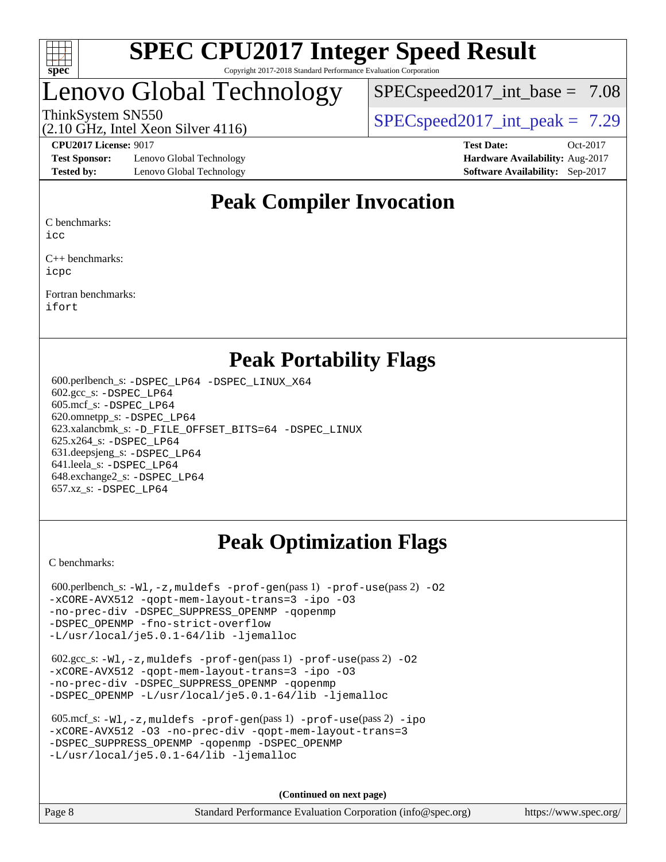

# enovo Global Technology

 $SPECspeed2017\_int\_base = 7.08$ 

ThinkSystem SN550  $SPEC speed2017$  int peak = 7.29

**[Test Sponsor:](http://www.spec.org/auto/cpu2017/Docs/result-fields.html#TestSponsor)** Lenovo Global Technology **[Hardware Availability:](http://www.spec.org/auto/cpu2017/Docs/result-fields.html#HardwareAvailability)** Aug-2017 **[Tested by:](http://www.spec.org/auto/cpu2017/Docs/result-fields.html#Testedby)** Lenovo Global Technology **[Software Availability:](http://www.spec.org/auto/cpu2017/Docs/result-fields.html#SoftwareAvailability)** Sep-2017

(2.10 GHz, Intel Xeon Silver 4116)

**[CPU2017 License:](http://www.spec.org/auto/cpu2017/Docs/result-fields.html#CPU2017License)** 9017 **[Test Date:](http://www.spec.org/auto/cpu2017/Docs/result-fields.html#TestDate)** Oct-2017

# **[Peak Compiler Invocation](http://www.spec.org/auto/cpu2017/Docs/result-fields.html#PeakCompilerInvocation)**

[C benchmarks](http://www.spec.org/auto/cpu2017/Docs/result-fields.html#Cbenchmarks):

[icc](http://www.spec.org/cpu2017/results/res2018q1/cpu2017-20180206-03406.flags.html#user_CCpeak_intel_icc_18.0_66fc1ee009f7361af1fbd72ca7dcefbb700085f36577c54f309893dd4ec40d12360134090235512931783d35fd58c0460139e722d5067c5574d8eaf2b3e37e92)

[C++ benchmarks:](http://www.spec.org/auto/cpu2017/Docs/result-fields.html#CXXbenchmarks) [icpc](http://www.spec.org/cpu2017/results/res2018q1/cpu2017-20180206-03406.flags.html#user_CXXpeak_intel_icpc_18.0_c510b6838c7f56d33e37e94d029a35b4a7bccf4766a728ee175e80a419847e808290a9b78be685c44ab727ea267ec2f070ec5dc83b407c0218cded6866a35d07)

[Fortran benchmarks](http://www.spec.org/auto/cpu2017/Docs/result-fields.html#Fortranbenchmarks): [ifort](http://www.spec.org/cpu2017/results/res2018q1/cpu2017-20180206-03406.flags.html#user_FCpeak_intel_ifort_18.0_8111460550e3ca792625aed983ce982f94888b8b503583aa7ba2b8303487b4d8a21a13e7191a45c5fd58ff318f48f9492884d4413fa793fd88dd292cad7027ca)

## **[Peak Portability Flags](http://www.spec.org/auto/cpu2017/Docs/result-fields.html#PeakPortabilityFlags)**

 600.perlbench\_s: [-DSPEC\\_LP64](http://www.spec.org/cpu2017/results/res2018q1/cpu2017-20180206-03406.flags.html#b600.perlbench_s_peakPORTABILITY_DSPEC_LP64) [-DSPEC\\_LINUX\\_X64](http://www.spec.org/cpu2017/results/res2018q1/cpu2017-20180206-03406.flags.html#b600.perlbench_s_peakCPORTABILITY_DSPEC_LINUX_X64) 602.gcc\_s: [-DSPEC\\_LP64](http://www.spec.org/cpu2017/results/res2018q1/cpu2017-20180206-03406.flags.html#suite_peakPORTABILITY602_gcc_s_DSPEC_LP64) 605.mcf\_s: [-DSPEC\\_LP64](http://www.spec.org/cpu2017/results/res2018q1/cpu2017-20180206-03406.flags.html#suite_peakPORTABILITY605_mcf_s_DSPEC_LP64) 620.omnetpp\_s: [-DSPEC\\_LP64](http://www.spec.org/cpu2017/results/res2018q1/cpu2017-20180206-03406.flags.html#suite_peakPORTABILITY620_omnetpp_s_DSPEC_LP64) 623.xalancbmk\_s: [-D\\_FILE\\_OFFSET\\_BITS=64](http://www.spec.org/cpu2017/results/res2018q1/cpu2017-20180206-03406.flags.html#user_peakPORTABILITY623_xalancbmk_s_file_offset_bits_64_5ae949a99b284ddf4e95728d47cb0843d81b2eb0e18bdfe74bbf0f61d0b064f4bda2f10ea5eb90e1dcab0e84dbc592acfc5018bc955c18609f94ddb8d550002c) [-DSPEC\\_LINUX](http://www.spec.org/cpu2017/results/res2018q1/cpu2017-20180206-03406.flags.html#b623.xalancbmk_s_peakCXXPORTABILITY_DSPEC_LINUX) 625.x264\_s: [-DSPEC\\_LP64](http://www.spec.org/cpu2017/results/res2018q1/cpu2017-20180206-03406.flags.html#suite_peakPORTABILITY625_x264_s_DSPEC_LP64) 631.deepsjeng\_s: [-DSPEC\\_LP64](http://www.spec.org/cpu2017/results/res2018q1/cpu2017-20180206-03406.flags.html#suite_peakPORTABILITY631_deepsjeng_s_DSPEC_LP64) 641.leela\_s: [-DSPEC\\_LP64](http://www.spec.org/cpu2017/results/res2018q1/cpu2017-20180206-03406.flags.html#suite_peakPORTABILITY641_leela_s_DSPEC_LP64) 648.exchange2\_s: [-DSPEC\\_LP64](http://www.spec.org/cpu2017/results/res2018q1/cpu2017-20180206-03406.flags.html#suite_peakPORTABILITY648_exchange2_s_DSPEC_LP64) 657.xz\_s: [-DSPEC\\_LP64](http://www.spec.org/cpu2017/results/res2018q1/cpu2017-20180206-03406.flags.html#suite_peakPORTABILITY657_xz_s_DSPEC_LP64)

# **[Peak Optimization Flags](http://www.spec.org/auto/cpu2017/Docs/result-fields.html#PeakOptimizationFlags)**

[C benchmarks](http://www.spec.org/auto/cpu2017/Docs/result-fields.html#Cbenchmarks):

600.perlbench\_s:  $-W1$ , -z, muldefs [-prof-gen](http://www.spec.org/cpu2017/results/res2018q1/cpu2017-20180206-03406.flags.html#user_peakPASS1_CFLAGSPASS1_LDFLAGS600_perlbench_s_prof_gen_5aa4926d6013ddb2a31985c654b3eb18169fc0c6952a63635c234f711e6e63dd76e94ad52365559451ec499a2cdb89e4dc58ba4c67ef54ca681ffbe1461d6b36)(pass 1) [-prof-use](http://www.spec.org/cpu2017/results/res2018q1/cpu2017-20180206-03406.flags.html#user_peakPASS2_CFLAGSPASS2_LDFLAGS600_perlbench_s_prof_use_1a21ceae95f36a2b53c25747139a6c16ca95bd9def2a207b4f0849963b97e94f5260e30a0c64f4bb623698870e679ca08317ef8150905d41bd88c6f78df73f19)(pass 2) -02 [-xCORE-AVX512](http://www.spec.org/cpu2017/results/res2018q1/cpu2017-20180206-03406.flags.html#user_peakPASS2_COPTIMIZE600_perlbench_s_f-xCORE-AVX512) [-qopt-mem-layout-trans=3](http://www.spec.org/cpu2017/results/res2018q1/cpu2017-20180206-03406.flags.html#user_peakPASS1_COPTIMIZEPASS2_COPTIMIZE600_perlbench_s_f-qopt-mem-layout-trans_de80db37974c74b1f0e20d883f0b675c88c3b01e9d123adea9b28688d64333345fb62bc4a798493513fdb68f60282f9a726aa07f478b2f7113531aecce732043) [-ipo](http://www.spec.org/cpu2017/results/res2018q1/cpu2017-20180206-03406.flags.html#user_peakPASS2_COPTIMIZE600_perlbench_s_f-ipo) [-O3](http://www.spec.org/cpu2017/results/res2018q1/cpu2017-20180206-03406.flags.html#user_peakPASS2_COPTIMIZE600_perlbench_s_f-O3) [-no-prec-div](http://www.spec.org/cpu2017/results/res2018q1/cpu2017-20180206-03406.flags.html#user_peakPASS2_COPTIMIZE600_perlbench_s_f-no-prec-div) [-DSPEC\\_SUPPRESS\\_OPENMP](http://www.spec.org/cpu2017/results/res2018q1/cpu2017-20180206-03406.flags.html#suite_peakPASS1_COPTIMIZE600_perlbench_s_DSPEC_SUPPRESS_OPENMP) [-qopenmp](http://www.spec.org/cpu2017/results/res2018q1/cpu2017-20180206-03406.flags.html#user_peakPASS2_COPTIMIZE600_perlbench_s_qopenmp_16be0c44f24f464004c6784a7acb94aca937f053568ce72f94b139a11c7c168634a55f6653758ddd83bcf7b8463e8028bb0b48b77bcddc6b78d5d95bb1df2967) [-DSPEC\\_OPENMP](http://www.spec.org/cpu2017/results/res2018q1/cpu2017-20180206-03406.flags.html#suite_peakPASS2_COPTIMIZE600_perlbench_s_DSPEC_OPENMP) [-fno-strict-overflow](http://www.spec.org/cpu2017/results/res2018q1/cpu2017-20180206-03406.flags.html#user_peakEXTRA_OPTIMIZE600_perlbench_s_f-fno-strict-overflow) [-L/usr/local/je5.0.1-64/lib](http://www.spec.org/cpu2017/results/res2018q1/cpu2017-20180206-03406.flags.html#user_peakEXTRA_LIBS600_perlbench_s_jemalloc_link_path64_4b10a636b7bce113509b17f3bd0d6226c5fb2346b9178c2d0232c14f04ab830f976640479e5c33dc2bcbbdad86ecfb6634cbbd4418746f06f368b512fced5394) [-ljemalloc](http://www.spec.org/cpu2017/results/res2018q1/cpu2017-20180206-03406.flags.html#user_peakEXTRA_LIBS600_perlbench_s_jemalloc_link_lib_d1249b907c500fa1c0672f44f562e3d0f79738ae9e3c4a9c376d49f265a04b9c99b167ecedbf6711b3085be911c67ff61f150a17b3472be731631ba4d0471706)

 602.gcc\_s: [-Wl,-z,muldefs](http://www.spec.org/cpu2017/results/res2018q1/cpu2017-20180206-03406.flags.html#user_peakEXTRA_LDFLAGS602_gcc_s_link_force_multiple1_b4cbdb97b34bdee9ceefcfe54f4c8ea74255f0b02a4b23e853cdb0e18eb4525ac79b5a88067c842dd0ee6996c24547a27a4b99331201badda8798ef8a743f577) [-prof-gen](http://www.spec.org/cpu2017/results/res2018q1/cpu2017-20180206-03406.flags.html#user_peakPASS1_CFLAGSPASS1_LDFLAGS602_gcc_s_prof_gen_5aa4926d6013ddb2a31985c654b3eb18169fc0c6952a63635c234f711e6e63dd76e94ad52365559451ec499a2cdb89e4dc58ba4c67ef54ca681ffbe1461d6b36)(pass 1) [-prof-use](http://www.spec.org/cpu2017/results/res2018q1/cpu2017-20180206-03406.flags.html#user_peakPASS2_CFLAGSPASS2_LDFLAGS602_gcc_s_prof_use_1a21ceae95f36a2b53c25747139a6c16ca95bd9def2a207b4f0849963b97e94f5260e30a0c64f4bb623698870e679ca08317ef8150905d41bd88c6f78df73f19)(pass 2) [-O2](http://www.spec.org/cpu2017/results/res2018q1/cpu2017-20180206-03406.flags.html#user_peakPASS1_COPTIMIZE602_gcc_s_f-O2) [-xCORE-AVX512](http://www.spec.org/cpu2017/results/res2018q1/cpu2017-20180206-03406.flags.html#user_peakPASS2_COPTIMIZE602_gcc_s_f-xCORE-AVX512) [-qopt-mem-layout-trans=3](http://www.spec.org/cpu2017/results/res2018q1/cpu2017-20180206-03406.flags.html#user_peakPASS1_COPTIMIZEPASS2_COPTIMIZE602_gcc_s_f-qopt-mem-layout-trans_de80db37974c74b1f0e20d883f0b675c88c3b01e9d123adea9b28688d64333345fb62bc4a798493513fdb68f60282f9a726aa07f478b2f7113531aecce732043) [-ipo](http://www.spec.org/cpu2017/results/res2018q1/cpu2017-20180206-03406.flags.html#user_peakPASS2_COPTIMIZE602_gcc_s_f-ipo) [-O3](http://www.spec.org/cpu2017/results/res2018q1/cpu2017-20180206-03406.flags.html#user_peakPASS2_COPTIMIZE602_gcc_s_f-O3) [-no-prec-div](http://www.spec.org/cpu2017/results/res2018q1/cpu2017-20180206-03406.flags.html#user_peakPASS2_COPTIMIZE602_gcc_s_f-no-prec-div) [-DSPEC\\_SUPPRESS\\_OPENMP](http://www.spec.org/cpu2017/results/res2018q1/cpu2017-20180206-03406.flags.html#suite_peakPASS1_COPTIMIZE602_gcc_s_DSPEC_SUPPRESS_OPENMP) [-qopenmp](http://www.spec.org/cpu2017/results/res2018q1/cpu2017-20180206-03406.flags.html#user_peakPASS2_COPTIMIZE602_gcc_s_qopenmp_16be0c44f24f464004c6784a7acb94aca937f053568ce72f94b139a11c7c168634a55f6653758ddd83bcf7b8463e8028bb0b48b77bcddc6b78d5d95bb1df2967) [-DSPEC\\_OPENMP](http://www.spec.org/cpu2017/results/res2018q1/cpu2017-20180206-03406.flags.html#suite_peakPASS2_COPTIMIZE602_gcc_s_DSPEC_OPENMP) [-L/usr/local/je5.0.1-64/lib](http://www.spec.org/cpu2017/results/res2018q1/cpu2017-20180206-03406.flags.html#user_peakEXTRA_LIBS602_gcc_s_jemalloc_link_path64_4b10a636b7bce113509b17f3bd0d6226c5fb2346b9178c2d0232c14f04ab830f976640479e5c33dc2bcbbdad86ecfb6634cbbd4418746f06f368b512fced5394) [-ljemalloc](http://www.spec.org/cpu2017/results/res2018q1/cpu2017-20180206-03406.flags.html#user_peakEXTRA_LIBS602_gcc_s_jemalloc_link_lib_d1249b907c500fa1c0672f44f562e3d0f79738ae9e3c4a9c376d49f265a04b9c99b167ecedbf6711b3085be911c67ff61f150a17b3472be731631ba4d0471706)

| 605.mcf s: $-Wl$ , $-z$ , muldefs $-prof-qen(pass 1)$ $-prof-use(pass 2) -ipo$ |  |  |  |  |  |  |
|--------------------------------------------------------------------------------|--|--|--|--|--|--|
| -xCORE-AVX512 -03 -no-prec-div -gopt-mem-layout-trans=3                        |  |  |  |  |  |  |
| -DSPEC SUPPRESS OPENMP - gopenmp - DSPEC OPENMP                                |  |  |  |  |  |  |
| $-L/usr/local/ie5.0.1-64/lib -liemalloc$                                       |  |  |  |  |  |  |

**(Continued on next page)**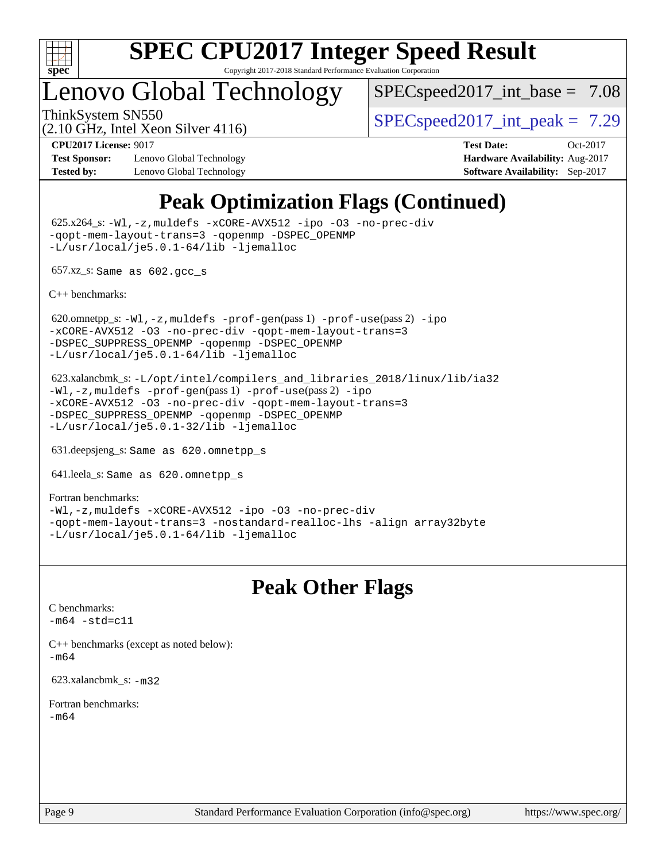

# Lenovo Global Technology

 $SPEC speed2017\_int\_base = 7.08$ 

(2.10 GHz, Intel Xeon Silver 4116)

ThinkSystem SN550  $SPEC speed2017$  int peak = 7.29

**[Test Sponsor:](http://www.spec.org/auto/cpu2017/Docs/result-fields.html#TestSponsor)** Lenovo Global Technology **[Hardware Availability:](http://www.spec.org/auto/cpu2017/Docs/result-fields.html#HardwareAvailability)** Aug-2017 **[Tested by:](http://www.spec.org/auto/cpu2017/Docs/result-fields.html#Testedby)** Lenovo Global Technology **[Software Availability:](http://www.spec.org/auto/cpu2017/Docs/result-fields.html#SoftwareAvailability)** Sep-2017

**[CPU2017 License:](http://www.spec.org/auto/cpu2017/Docs/result-fields.html#CPU2017License)** 9017 **[Test Date:](http://www.spec.org/auto/cpu2017/Docs/result-fields.html#TestDate)** Oct-2017

# **[Peak Optimization Flags \(Continued\)](http://www.spec.org/auto/cpu2017/Docs/result-fields.html#PeakOptimizationFlags)**

 625.x264\_s: [-Wl,-z,muldefs](http://www.spec.org/cpu2017/results/res2018q1/cpu2017-20180206-03406.flags.html#user_peakEXTRA_LDFLAGS625_x264_s_link_force_multiple1_b4cbdb97b34bdee9ceefcfe54f4c8ea74255f0b02a4b23e853cdb0e18eb4525ac79b5a88067c842dd0ee6996c24547a27a4b99331201badda8798ef8a743f577) [-xCORE-AVX512](http://www.spec.org/cpu2017/results/res2018q1/cpu2017-20180206-03406.flags.html#user_peakCOPTIMIZE625_x264_s_f-xCORE-AVX512) [-ipo](http://www.spec.org/cpu2017/results/res2018q1/cpu2017-20180206-03406.flags.html#user_peakCOPTIMIZE625_x264_s_f-ipo) [-O3](http://www.spec.org/cpu2017/results/res2018q1/cpu2017-20180206-03406.flags.html#user_peakCOPTIMIZE625_x264_s_f-O3) [-no-prec-div](http://www.spec.org/cpu2017/results/res2018q1/cpu2017-20180206-03406.flags.html#user_peakCOPTIMIZE625_x264_s_f-no-prec-div) [-qopt-mem-layout-trans=3](http://www.spec.org/cpu2017/results/res2018q1/cpu2017-20180206-03406.flags.html#user_peakCOPTIMIZE625_x264_s_f-qopt-mem-layout-trans_de80db37974c74b1f0e20d883f0b675c88c3b01e9d123adea9b28688d64333345fb62bc4a798493513fdb68f60282f9a726aa07f478b2f7113531aecce732043) [-qopenmp](http://www.spec.org/cpu2017/results/res2018q1/cpu2017-20180206-03406.flags.html#user_peakCOPTIMIZE625_x264_s_qopenmp_16be0c44f24f464004c6784a7acb94aca937f053568ce72f94b139a11c7c168634a55f6653758ddd83bcf7b8463e8028bb0b48b77bcddc6b78d5d95bb1df2967) [-DSPEC\\_OPENMP](http://www.spec.org/cpu2017/results/res2018q1/cpu2017-20180206-03406.flags.html#suite_peakCOPTIMIZE625_x264_s_DSPEC_OPENMP) [-L/usr/local/je5.0.1-64/lib](http://www.spec.org/cpu2017/results/res2018q1/cpu2017-20180206-03406.flags.html#user_peakEXTRA_LIBS625_x264_s_jemalloc_link_path64_4b10a636b7bce113509b17f3bd0d6226c5fb2346b9178c2d0232c14f04ab830f976640479e5c33dc2bcbbdad86ecfb6634cbbd4418746f06f368b512fced5394) [-ljemalloc](http://www.spec.org/cpu2017/results/res2018q1/cpu2017-20180206-03406.flags.html#user_peakEXTRA_LIBS625_x264_s_jemalloc_link_lib_d1249b907c500fa1c0672f44f562e3d0f79738ae9e3c4a9c376d49f265a04b9c99b167ecedbf6711b3085be911c67ff61f150a17b3472be731631ba4d0471706)

657.xz\_s: Same as 602.gcc\_s

[C++ benchmarks:](http://www.spec.org/auto/cpu2017/Docs/result-fields.html#CXXbenchmarks)

620.omnetpp\_s: $-W1$ ,-z,muldefs -prof-qen(pass 1) [-prof-use](http://www.spec.org/cpu2017/results/res2018q1/cpu2017-20180206-03406.flags.html#user_peakPASS2_CXXFLAGSPASS2_LDFLAGS620_omnetpp_s_prof_use_1a21ceae95f36a2b53c25747139a6c16ca95bd9def2a207b4f0849963b97e94f5260e30a0c64f4bb623698870e679ca08317ef8150905d41bd88c6f78df73f19)(pass 2) [-ipo](http://www.spec.org/cpu2017/results/res2018q1/cpu2017-20180206-03406.flags.html#user_peakPASS1_CXXOPTIMIZEPASS2_CXXOPTIMIZE620_omnetpp_s_f-ipo) [-xCORE-AVX512](http://www.spec.org/cpu2017/results/res2018q1/cpu2017-20180206-03406.flags.html#user_peakPASS2_CXXOPTIMIZE620_omnetpp_s_f-xCORE-AVX512) [-O3](http://www.spec.org/cpu2017/results/res2018q1/cpu2017-20180206-03406.flags.html#user_peakPASS1_CXXOPTIMIZEPASS2_CXXOPTIMIZE620_omnetpp_s_f-O3) [-no-prec-div](http://www.spec.org/cpu2017/results/res2018q1/cpu2017-20180206-03406.flags.html#user_peakPASS1_CXXOPTIMIZEPASS2_CXXOPTIMIZE620_omnetpp_s_f-no-prec-div) [-qopt-mem-layout-trans=3](http://www.spec.org/cpu2017/results/res2018q1/cpu2017-20180206-03406.flags.html#user_peakPASS1_CXXOPTIMIZEPASS2_CXXOPTIMIZE620_omnetpp_s_f-qopt-mem-layout-trans_de80db37974c74b1f0e20d883f0b675c88c3b01e9d123adea9b28688d64333345fb62bc4a798493513fdb68f60282f9a726aa07f478b2f7113531aecce732043) [-DSPEC\\_SUPPRESS\\_OPENMP](http://www.spec.org/cpu2017/results/res2018q1/cpu2017-20180206-03406.flags.html#suite_peakPASS1_CXXOPTIMIZE620_omnetpp_s_DSPEC_SUPPRESS_OPENMP) [-qopenmp](http://www.spec.org/cpu2017/results/res2018q1/cpu2017-20180206-03406.flags.html#user_peakPASS2_CXXOPTIMIZE620_omnetpp_s_qopenmp_16be0c44f24f464004c6784a7acb94aca937f053568ce72f94b139a11c7c168634a55f6653758ddd83bcf7b8463e8028bb0b48b77bcddc6b78d5d95bb1df2967) [-DSPEC\\_OPENMP](http://www.spec.org/cpu2017/results/res2018q1/cpu2017-20180206-03406.flags.html#suite_peakPASS2_CXXOPTIMIZE620_omnetpp_s_DSPEC_OPENMP) [-L/usr/local/je5.0.1-64/lib](http://www.spec.org/cpu2017/results/res2018q1/cpu2017-20180206-03406.flags.html#user_peakEXTRA_LIBS620_omnetpp_s_jemalloc_link_path64_4b10a636b7bce113509b17f3bd0d6226c5fb2346b9178c2d0232c14f04ab830f976640479e5c33dc2bcbbdad86ecfb6634cbbd4418746f06f368b512fced5394) [-ljemalloc](http://www.spec.org/cpu2017/results/res2018q1/cpu2017-20180206-03406.flags.html#user_peakEXTRA_LIBS620_omnetpp_s_jemalloc_link_lib_d1249b907c500fa1c0672f44f562e3d0f79738ae9e3c4a9c376d49f265a04b9c99b167ecedbf6711b3085be911c67ff61f150a17b3472be731631ba4d0471706)

 623.xalancbmk\_s: [-L/opt/intel/compilers\\_and\\_libraries\\_2018/linux/lib/ia32](http://www.spec.org/cpu2017/results/res2018q1/cpu2017-20180206-03406.flags.html#user_peakCXXLD623_xalancbmk_s_Enable-32bit-runtime_af243bdb1d79e4c7a4f720bf8275e627de2ecd461de63307bc14cef0633fde3cd7bb2facb32dcc8be9566045fb55d40ce2b72b725f73827aa7833441b71b9343) [-Wl,-z,muldefs](http://www.spec.org/cpu2017/results/res2018q1/cpu2017-20180206-03406.flags.html#user_peakEXTRA_LDFLAGS623_xalancbmk_s_link_force_multiple1_b4cbdb97b34bdee9ceefcfe54f4c8ea74255f0b02a4b23e853cdb0e18eb4525ac79b5a88067c842dd0ee6996c24547a27a4b99331201badda8798ef8a743f577) [-prof-gen](http://www.spec.org/cpu2017/results/res2018q1/cpu2017-20180206-03406.flags.html#user_peakPASS1_CXXFLAGSPASS1_LDFLAGS623_xalancbmk_s_prof_gen_5aa4926d6013ddb2a31985c654b3eb18169fc0c6952a63635c234f711e6e63dd76e94ad52365559451ec499a2cdb89e4dc58ba4c67ef54ca681ffbe1461d6b36)(pass 1) [-prof-use](http://www.spec.org/cpu2017/results/res2018q1/cpu2017-20180206-03406.flags.html#user_peakPASS2_CXXFLAGSPASS2_LDFLAGS623_xalancbmk_s_prof_use_1a21ceae95f36a2b53c25747139a6c16ca95bd9def2a207b4f0849963b97e94f5260e30a0c64f4bb623698870e679ca08317ef8150905d41bd88c6f78df73f19)(pass 2) [-ipo](http://www.spec.org/cpu2017/results/res2018q1/cpu2017-20180206-03406.flags.html#user_peakPASS1_CXXOPTIMIZEPASS2_CXXOPTIMIZE623_xalancbmk_s_f-ipo) [-xCORE-AVX512](http://www.spec.org/cpu2017/results/res2018q1/cpu2017-20180206-03406.flags.html#user_peakPASS2_CXXOPTIMIZE623_xalancbmk_s_f-xCORE-AVX512) [-O3](http://www.spec.org/cpu2017/results/res2018q1/cpu2017-20180206-03406.flags.html#user_peakPASS1_CXXOPTIMIZEPASS2_CXXOPTIMIZE623_xalancbmk_s_f-O3) [-no-prec-div](http://www.spec.org/cpu2017/results/res2018q1/cpu2017-20180206-03406.flags.html#user_peakPASS1_CXXOPTIMIZEPASS2_CXXOPTIMIZE623_xalancbmk_s_f-no-prec-div) [-qopt-mem-layout-trans=3](http://www.spec.org/cpu2017/results/res2018q1/cpu2017-20180206-03406.flags.html#user_peakPASS1_CXXOPTIMIZEPASS2_CXXOPTIMIZE623_xalancbmk_s_f-qopt-mem-layout-trans_de80db37974c74b1f0e20d883f0b675c88c3b01e9d123adea9b28688d64333345fb62bc4a798493513fdb68f60282f9a726aa07f478b2f7113531aecce732043) [-DSPEC\\_SUPPRESS\\_OPENMP](http://www.spec.org/cpu2017/results/res2018q1/cpu2017-20180206-03406.flags.html#suite_peakPASS1_CXXOPTIMIZE623_xalancbmk_s_DSPEC_SUPPRESS_OPENMP) [-qopenmp](http://www.spec.org/cpu2017/results/res2018q1/cpu2017-20180206-03406.flags.html#user_peakPASS2_CXXOPTIMIZE623_xalancbmk_s_qopenmp_16be0c44f24f464004c6784a7acb94aca937f053568ce72f94b139a11c7c168634a55f6653758ddd83bcf7b8463e8028bb0b48b77bcddc6b78d5d95bb1df2967) [-DSPEC\\_OPENMP](http://www.spec.org/cpu2017/results/res2018q1/cpu2017-20180206-03406.flags.html#suite_peakPASS2_CXXOPTIMIZE623_xalancbmk_s_DSPEC_OPENMP) [-L/usr/local/je5.0.1-32/lib](http://www.spec.org/cpu2017/results/res2018q1/cpu2017-20180206-03406.flags.html#user_peakEXTRA_LIBS623_xalancbmk_s_jemalloc_link_path32_e29f22e8e6c17053bbc6a0971f5a9c01a601a06bb1a59df2084b77a2fe0a2995b64fd4256feaeea39eeba3aae142e96e2b2b0a28974019c0c0c88139a84f900a) [-ljemalloc](http://www.spec.org/cpu2017/results/res2018q1/cpu2017-20180206-03406.flags.html#user_peakEXTRA_LIBS623_xalancbmk_s_jemalloc_link_lib_d1249b907c500fa1c0672f44f562e3d0f79738ae9e3c4a9c376d49f265a04b9c99b167ecedbf6711b3085be911c67ff61f150a17b3472be731631ba4d0471706)

631.deepsjeng\_s: Same as 620.omnetpp\_s

641.leela\_s: Same as 620.omnetpp\_s

[Fortran benchmarks](http://www.spec.org/auto/cpu2017/Docs/result-fields.html#Fortranbenchmarks): [-Wl,-z,muldefs](http://www.spec.org/cpu2017/results/res2018q1/cpu2017-20180206-03406.flags.html#user_FCpeak_link_force_multiple1_b4cbdb97b34bdee9ceefcfe54f4c8ea74255f0b02a4b23e853cdb0e18eb4525ac79b5a88067c842dd0ee6996c24547a27a4b99331201badda8798ef8a743f577) [-xCORE-AVX512](http://www.spec.org/cpu2017/results/res2018q1/cpu2017-20180206-03406.flags.html#user_FCpeak_f-xCORE-AVX512) [-ipo](http://www.spec.org/cpu2017/results/res2018q1/cpu2017-20180206-03406.flags.html#user_FCpeak_f-ipo) [-O3](http://www.spec.org/cpu2017/results/res2018q1/cpu2017-20180206-03406.flags.html#user_FCpeak_f-O3) [-no-prec-div](http://www.spec.org/cpu2017/results/res2018q1/cpu2017-20180206-03406.flags.html#user_FCpeak_f-no-prec-div) [-qopt-mem-layout-trans=3](http://www.spec.org/cpu2017/results/res2018q1/cpu2017-20180206-03406.flags.html#user_FCpeak_f-qopt-mem-layout-trans_de80db37974c74b1f0e20d883f0b675c88c3b01e9d123adea9b28688d64333345fb62bc4a798493513fdb68f60282f9a726aa07f478b2f7113531aecce732043) [-nostandard-realloc-lhs](http://www.spec.org/cpu2017/results/res2018q1/cpu2017-20180206-03406.flags.html#user_FCpeak_f_2003_std_realloc_82b4557e90729c0f113870c07e44d33d6f5a304b4f63d4c15d2d0f1fab99f5daaed73bdb9275d9ae411527f28b936061aa8b9c8f2d63842963b95c9dd6426b8a) [-align array32byte](http://www.spec.org/cpu2017/results/res2018q1/cpu2017-20180206-03406.flags.html#user_FCpeak_align_array32byte_b982fe038af199962ba9a80c053b8342c548c85b40b8e86eb3cc33dee0d7986a4af373ac2d51c3f7cf710a18d62fdce2948f201cd044323541f22fc0fffc51b6) [-L/usr/local/je5.0.1-64/lib](http://www.spec.org/cpu2017/results/res2018q1/cpu2017-20180206-03406.flags.html#user_FCpeak_jemalloc_link_path64_4b10a636b7bce113509b17f3bd0d6226c5fb2346b9178c2d0232c14f04ab830f976640479e5c33dc2bcbbdad86ecfb6634cbbd4418746f06f368b512fced5394) [-ljemalloc](http://www.spec.org/cpu2017/results/res2018q1/cpu2017-20180206-03406.flags.html#user_FCpeak_jemalloc_link_lib_d1249b907c500fa1c0672f44f562e3d0f79738ae9e3c4a9c376d49f265a04b9c99b167ecedbf6711b3085be911c67ff61f150a17b3472be731631ba4d0471706)

# **[Peak Other Flags](http://www.spec.org/auto/cpu2017/Docs/result-fields.html#PeakOtherFlags)**

[C benchmarks](http://www.spec.org/auto/cpu2017/Docs/result-fields.html#Cbenchmarks):  $-m64 - std= c11$  $-m64 - std= c11$ 

[C++ benchmarks \(except as noted below\):](http://www.spec.org/auto/cpu2017/Docs/result-fields.html#CXXbenchmarksexceptasnotedbelow) [-m64](http://www.spec.org/cpu2017/results/res2018q1/cpu2017-20180206-03406.flags.html#user_CXXpeak_intel_intel64_18.0_af43caccfc8ded86e7699f2159af6efc7655f51387b94da716254467f3c01020a5059329e2569e4053f409e7c9202a7efc638f7a6d1ffb3f52dea4a3e31d82ab)

623.xalancbmk\_s: [-m32](http://www.spec.org/cpu2017/results/res2018q1/cpu2017-20180206-03406.flags.html#user_peakCXXLD623_xalancbmk_s_intel_ia32_18.0_2666f1173eb60787016b673bfe1358e27016ef7649ea4884b7bc6187fd89dc221d14632e22638cde1c647a518de97358ab15d4ad098ee4e19a8b28d0c25e14bf)

[Fortran benchmarks](http://www.spec.org/auto/cpu2017/Docs/result-fields.html#Fortranbenchmarks): [-m64](http://www.spec.org/cpu2017/results/res2018q1/cpu2017-20180206-03406.flags.html#user_FCpeak_intel_intel64_18.0_af43caccfc8ded86e7699f2159af6efc7655f51387b94da716254467f3c01020a5059329e2569e4053f409e7c9202a7efc638f7a6d1ffb3f52dea4a3e31d82ab)